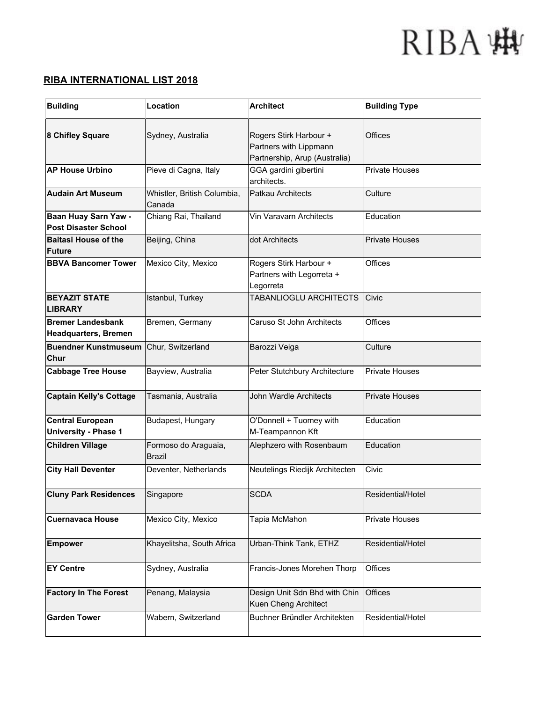#### **RIBA INTERNATIONAL LIST 2018**

| <b>Building</b>                                         | Location                              | <b>Architect</b>                                                                  | <b>Building Type</b>  |
|---------------------------------------------------------|---------------------------------------|-----------------------------------------------------------------------------------|-----------------------|
| 8 Chifley Square                                        | Sydney, Australia                     | Rogers Stirk Harbour +<br>Partners with Lippmann<br>Partnership, Arup (Australia) | Offices               |
| <b>AP House Urbino</b>                                  | Pieve di Cagna, Italy                 | GGA gardini gibertini<br>architects.                                              | <b>Private Houses</b> |
| <b>Audain Art Museum</b>                                | Whistler, British Columbia,<br>Canada | Patkau Architects                                                                 | Culture               |
| Baan Huay Sarn Yaw -<br><b>Post Disaster School</b>     | Chiang Rai, Thailand                  | Vin Varavarn Architects                                                           | Education             |
| <b>Baitasi House of the</b><br><b>Future</b>            | Beijing, China                        | dot Architects                                                                    | <b>Private Houses</b> |
| <b>BBVA Bancomer Tower</b>                              | Mexico City, Mexico                   | Rogers Stirk Harbour +<br>Partners with Legorreta +<br>Legorreta                  | Offices               |
| <b>BEYAZIT STATE</b><br><b>LIBRARY</b>                  | Istanbul, Turkey                      | TABANLIOGLU ARCHITECTS                                                            | Civic                 |
| <b>Bremer Landesbank</b><br><b>Headquarters, Bremen</b> | Bremen, Germany                       | Caruso St John Architects                                                         | Offices               |
| <b>Buendner Kunstmuseum</b><br>Chur                     | Chur, Switzerland                     | Barozzi Veiga                                                                     | Culture               |
| <b>Cabbage Tree House</b>                               | Bayview, Australia                    | Peter Stutchbury Architecture                                                     | <b>Private Houses</b> |
| <b>Captain Kelly's Cottage</b>                          | Tasmania, Australia                   | John Wardle Architects                                                            | <b>Private Houses</b> |
| <b>Central European</b><br><b>University - Phase 1</b>  | Budapest, Hungary                     | O'Donnell + Tuomey with<br>M-Teampannon Kft                                       | Education             |
| <b>Children Village</b>                                 | Formoso do Araguaia,<br><b>Brazil</b> | Alephzero with Rosenbaum                                                          | Education             |
| <b>City Hall Deventer</b>                               | Deventer, Netherlands                 | Neutelings Riedijk Architecten                                                    | Civic                 |
| <b>Cluny Park Residences</b>                            | Singapore                             | <b>SCDA</b>                                                                       | Residential/Hotel     |
| <b>Cuernavaca House</b>                                 | Mexico City, Mexico                   | Tapia McMahon                                                                     | <b>Private Houses</b> |
| <b>Empower</b>                                          | Khayelitsha, South Africa             | Urban-Think Tank, ETHZ                                                            | Residential/Hotel     |
| <b>EY Centre</b>                                        | Sydney, Australia                     | Francis-Jones Morehen Thorp                                                       | Offices               |
| <b>Factory In The Forest</b>                            | Penang, Malaysia                      | Design Unit Sdn Bhd with Chin<br>Kuen Cheng Architect                             | Offices               |
| <b>Garden Tower</b>                                     | Wabern, Switzerland                   | Buchner Bründler Architekten                                                      | Residential/Hotel     |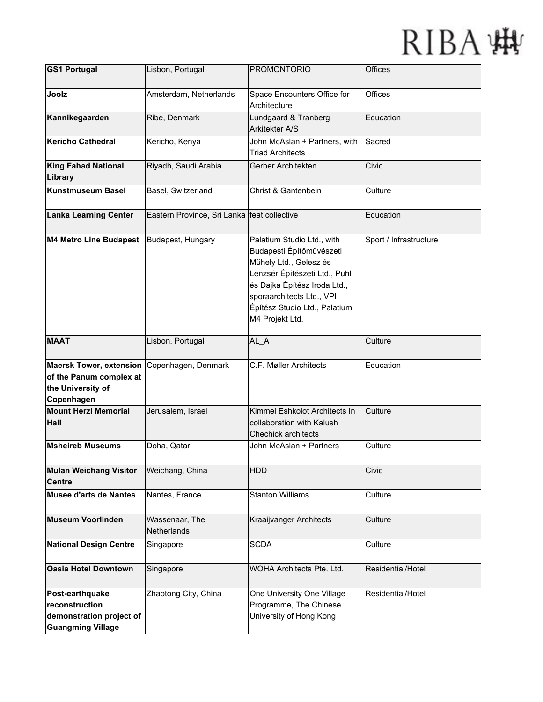| <b>GS1 Portugal</b>                                                                          | Lisbon, Portugal                            | <b>PROMONTORIO</b>                                                                                                                                                                                                                 | <b>Offices</b>         |
|----------------------------------------------------------------------------------------------|---------------------------------------------|------------------------------------------------------------------------------------------------------------------------------------------------------------------------------------------------------------------------------------|------------------------|
| Joolz                                                                                        | Amsterdam, Netherlands                      | Space Encounters Office for<br>Architecture                                                                                                                                                                                        | Offices                |
| Kannikegaarden                                                                               | Ribe, Denmark                               | Lundgaard & Tranberg<br>Arkitekter A/S                                                                                                                                                                                             | Education              |
| Kericho Cathedral                                                                            | Kericho, Kenya                              | John McAslan + Partners, with<br><b>Triad Architects</b>                                                                                                                                                                           | Sacred                 |
| <b>King Fahad National</b><br>Library                                                        | Riyadh, Saudi Arabia                        | Gerber Architekten                                                                                                                                                                                                                 | Civic                  |
| Kunstmuseum Basel                                                                            | Basel, Switzerland                          | Christ & Gantenbein                                                                                                                                                                                                                | Culture                |
| <b>Lanka Learning Center</b>                                                                 | Eastern Province, Sri Lanka feat.collective |                                                                                                                                                                                                                                    | Education              |
| M4 Metro Line Budapest                                                                       | Budapest, Hungary                           | Palatium Studio Ltd., with<br>Budapesti Építőművészeti<br>Műhely Ltd., Gelesz és<br>Lenzsér Építészeti Ltd., Puhl<br>és Dajka Építész Iroda Ltd.,<br>sporaarchitects Ltd., VPI<br>Építész Studio Ltd., Palatium<br>M4 Projekt Ltd. | Sport / Infrastructure |
| <b>MAAT</b>                                                                                  | Lisbon, Portugal                            | AL_A                                                                                                                                                                                                                               | Culture                |
| <b>Maersk Tower, extension</b><br>of the Panum complex at<br>the University of<br>Copenhagen | Copenhagen, Denmark                         | C.F. Møller Architects                                                                                                                                                                                                             | Education              |
| <b>Mount Herzl Memorial</b><br><b>Hall</b>                                                   | Jerusalem, Israel                           | Kimmel Eshkolot Architects In<br>collaboration with Kalush<br><b>Chechick architects</b>                                                                                                                                           | Culture                |
| <b>Msheireb Museums</b>                                                                      | Doha, Qatar                                 | John McAslan + Partners                                                                                                                                                                                                            | Culture                |
| <b>Mulan Weichang Visitor</b><br><b>Centre</b>                                               | Weichang, China                             | <b>HDD</b>                                                                                                                                                                                                                         | Civic                  |
| <b>Musee d'arts de Nantes</b>                                                                | Nantes, France                              | <b>Stanton Williams</b>                                                                                                                                                                                                            | Culture                |
| <b>Museum Voorlinden</b>                                                                     | Wassenaar, The<br>Netherlands               | Kraaijvanger Architects                                                                                                                                                                                                            | Culture                |
| <b>National Design Centre</b>                                                                | Singapore                                   | <b>SCDA</b>                                                                                                                                                                                                                        | Culture                |
| <b>Oasia Hotel Downtown</b>                                                                  | Singapore                                   | WOHA Architects Pte. Ltd.                                                                                                                                                                                                          | Residential/Hotel      |
| Post-earthquake<br>reconstruction<br>demonstration project of<br><b>Guangming Village</b>    | Zhaotong City, China                        | One University One Village<br>Programme, The Chinese<br>University of Hong Kong                                                                                                                                                    | Residential/Hotel      |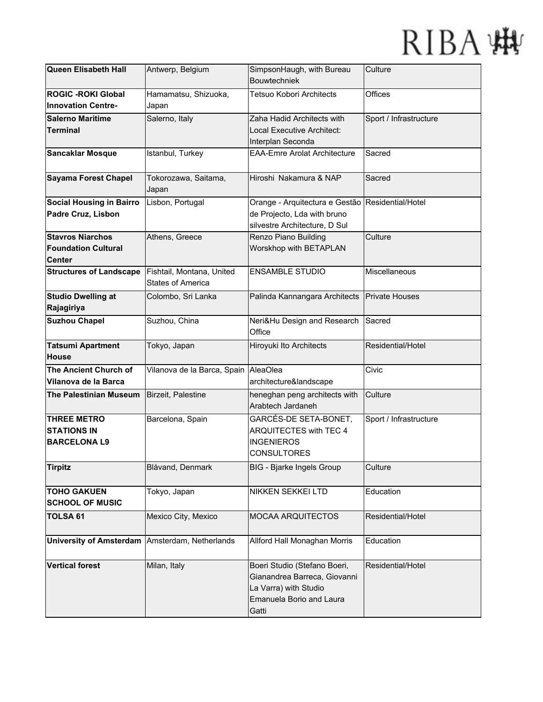| Queen Elisabeth Hall            | Antwerp, Belgium            | SimpsonHaugh, with Bureau           | Culture                |
|---------------------------------|-----------------------------|-------------------------------------|------------------------|
|                                 |                             | <b>Bouwtechniek</b>                 |                        |
| <b>ROGIC - ROKI Global</b>      | Hamamatsu, Shizuoka,        | <b>Tetsuo Kobori Architects</b>     | Offices                |
| <b>Innovation Centre-</b>       | Japan                       |                                     |                        |
| <b>Salerno Maritime</b>         | Salerno, Italy              | Zaha Hadid Architects with          | Sport / Infrastructure |
| <b>Terminal</b>                 |                             | Local Executive Architect:          |                        |
|                                 |                             | Interplan Seconda                   |                        |
| <b>Sancaklar Mosque</b>         | Istanbul, Turkey            | <b>EAA-Emre Arolat Architecture</b> | Sacred                 |
|                                 |                             |                                     |                        |
| <b>Sayama Forest Chapel</b>     | Tokorozawa, Saitama,        | Hiroshi Nakamura & NAP              | Sacred                 |
|                                 | Japan                       |                                     |                        |
| <b>Social Housing in Bairro</b> | Lisbon, Portugal            | Orange - Arquitectura e Gestão      | Residential/Hotel      |
| Padre Cruz, Lisbon              |                             | de Projecto, Lda with bruno         |                        |
|                                 |                             | silvestre Architecture, D Sul       |                        |
| <b>Stavros Niarchos</b>         | Athens, Greece              | Renzo Piano Building                | Culture                |
| <b>Foundation Cultural</b>      |                             | Worskhop with BETAPLAN              |                        |
| <b>Center</b>                   |                             |                                     |                        |
| <b>Structures of Landscape</b>  | Fishtail, Montana, United   | <b>ENSAMBLE STUDIO</b>              | Miscellaneous          |
|                                 | <b>States of America</b>    |                                     |                        |
|                                 |                             |                                     |                        |
| <b>Studio Dwelling at</b>       | Colombo, Sri Lanka          | Palinda Kannangara Architects       | <b>Private Houses</b>  |
| Rajagiriya                      |                             |                                     |                        |
| <b>Suzhou Chapel</b>            | Suzhou, China               | Neri&Hu Design and Research         | Sacred                 |
|                                 |                             | Office                              |                        |
| <b>Tatsumi Apartment</b>        | Tokyo, Japan                | Hiroyuki Ito Architects             | Residential/Hotel      |
|                                 |                             |                                     |                        |
| <b>House</b>                    |                             |                                     |                        |
| The Ancient Church of           | Vilanova de la Barca, Spain | AleaOlea                            | Civic                  |
| Vilanova de la Barca            |                             | architecture&landscape              |                        |
| <b>The Palestinian Museum</b>   | Birzeit, Palestine          | heneghan peng architects with       | Culture                |
|                                 |                             | Arabtech Jardaneh                   |                        |
|                                 |                             |                                     |                        |
| <b>THREE METRO</b>              | Barcelona, Spain            | GARCÉS-DE SETA-BONET,               | Sport / Infrastructure |
| <b>STATIONS IN</b>              |                             | ARQUITECTES with TEC 4              |                        |
| <b>BARCELONAL9</b>              |                             | <b>INGENIEROS</b>                   |                        |
|                                 |                             | <b>CONSULTORES</b>                  |                        |
| <b>Tirpitz</b>                  | Blåvand, Denmark            | <b>BIG</b> - Bjarke Ingels Group    | Culture                |
|                                 |                             |                                     |                        |
| <b>TOHO GAKUEN</b>              | Tokyo, Japan                | <b>NIKKEN SEKKEI LTD</b>            | Education              |
| <b>SCHOOL OF MUSIC</b>          |                             |                                     |                        |
| <b>TOLSA 61</b>                 | Mexico City, Mexico         | MOCAA ARQUITECTOS                   | Residential/Hotel      |
|                                 |                             |                                     |                        |
| <b>University of Amsterdam</b>  | Amsterdam, Netherlands      | Allford Hall Monaghan Morris        | Education              |
|                                 |                             |                                     |                        |
| <b>Vertical forest</b>          | Milan, Italy                | Boeri Studio (Stefano Boeri,        | Residential/Hotel      |
|                                 |                             | Gianandrea Barreca, Giovanni        |                        |
|                                 |                             | La Varra) with Studio               |                        |
|                                 |                             | Emanuela Borio and Laura            |                        |